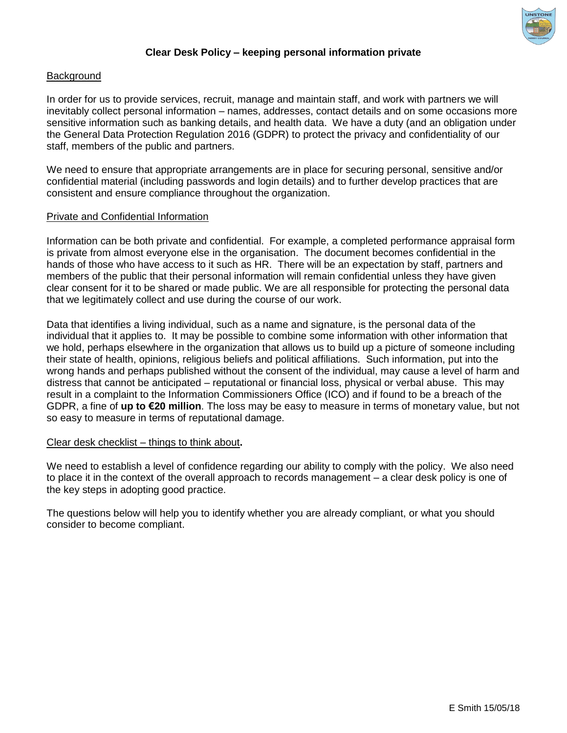

# **Clear Desk Policy – keeping personal information private**

## **Background**

In order for us to provide services, recruit, manage and maintain staff, and work with partners we will inevitably collect personal information – names, addresses, contact details and on some occasions more sensitive information such as banking details, and health data. We have a duty (and an obligation under the General Data Protection Regulation 2016 (GDPR) to protect the privacy and confidentiality of our staff, members of the public and partners.

We need to ensure that appropriate arrangements are in place for securing personal, sensitive and/or confidential material (including passwords and login details) and to further develop practices that are consistent and ensure compliance throughout the organization.

#### Private and Confidential Information

Information can be both private and confidential. For example, a completed performance appraisal form is private from almost everyone else in the organisation. The document becomes confidential in the hands of those who have access to it such as HR. There will be an expectation by staff, partners and members of the public that their personal information will remain confidential unless they have given clear consent for it to be shared or made public. We are all responsible for protecting the personal data that we legitimately collect and use during the course of our work.

Data that identifies a living individual, such as a name and signature, is the personal data of the individual that it applies to. It may be possible to combine some information with other information that we hold, perhaps elsewhere in the organization that allows us to build up a picture of someone including their state of health, opinions, religious beliefs and political affiliations. Such information, put into the wrong hands and perhaps published without the consent of the individual, may cause a level of harm and distress that cannot be anticipated – reputational or financial loss, physical or verbal abuse. This may result in a complaint to the Information Commissioners Office (ICO) and if found to be a breach of the GDPR, a fine of **up to €20 million**. The loss may be easy to measure in terms of monetary value, but not so easy to measure in terms of reputational damage.

#### Clear desk checklist – things to think about**.**

We need to establish a level of confidence regarding our ability to comply with the policy. We also need to place it in the context of the overall approach to records management – a clear desk policy is one of the key steps in adopting good practice.

The questions below will help you to identify whether you are already compliant, or what you should consider to become compliant.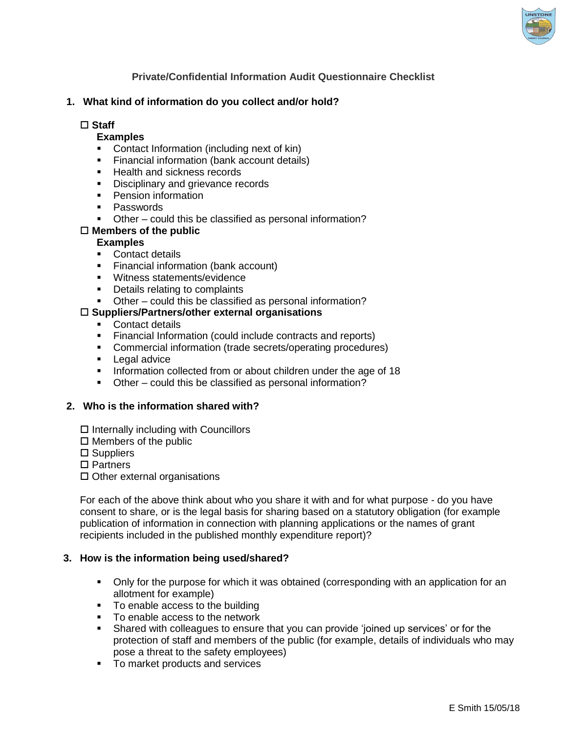

# **Private/Confidential Information Audit Questionnaire Checklist**

# **1. What kind of information do you collect and/or hold?**

## **Staff**

# **Examples**

- Contact Information (including next of kin)
- **Financial information (bank account details)**
- **Health and sickness records**
- Disciplinary and grievance records
- **Pension information**
- **Passwords**
- Other could this be classified as personal information?

### **Members of the public**

### **Examples**

- **Contact details**
- **Financial information (bank account)**
- **Witness statements/evidence**
- Details relating to complaints
- Other could this be classified as personal information?

### **Suppliers/Partners/other external organisations**

- Contact details
- Financial Information (could include contracts and reports)
- Commercial information (trade secrets/operating procedures)
- **Legal advice**
- **Information collected from or about children under the age of 18**
- Other could this be classified as personal information?

#### **2. Who is the information shared with?**

- $\square$  Internally including with Councillors
- $\Box$  Members of the public
- □ Suppliers
- □ Partners
- $\square$  Other external organisations

For each of the above think about who you share it with and for what purpose - do you have consent to share, or is the legal basis for sharing based on a statutory obligation (for example publication of information in connection with planning applications or the names of grant recipients included in the published monthly expenditure report)?

#### **3. How is the information being used/shared?**

- Only for the purpose for which it was obtained (corresponding with an application for an allotment for example)
- To enable access to the building
- To enable access to the network
- Shared with colleagues to ensure that you can provide 'joined up services' or for the protection of staff and members of the public (for example, details of individuals who may pose a threat to the safety employees)
- To market products and services